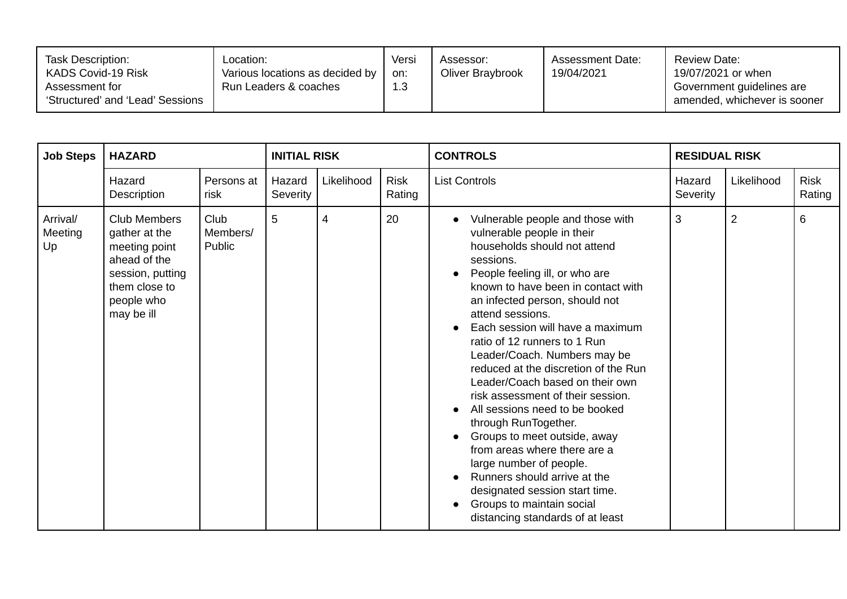| Task Description:<br>KADS Covid-19 Risk<br>Assessment for<br>'Structured' and 'Lead' Sessions | .ocation:<br>Various locations as decided by<br>Run Leaders & coaches | Versi<br>on:<br>1.3 | Assessor:<br>Oliver Braybrook | <b>Assessment Date:</b><br>19/04/2021 | Review Date:<br>19/07/2021 or when<br>Government guidelines are<br>amended, whichever is sooner |
|-----------------------------------------------------------------------------------------------|-----------------------------------------------------------------------|---------------------|-------------------------------|---------------------------------------|-------------------------------------------------------------------------------------------------|
|-----------------------------------------------------------------------------------------------|-----------------------------------------------------------------------|---------------------|-------------------------------|---------------------------------------|-------------------------------------------------------------------------------------------------|

| <b>Job Steps</b>          | <b>HAZARD</b>                                                                                                                   |                            | <b>INITIAL RISK</b> |            |                       | <b>CONTROLS</b>                                                                                                                                                                                                                                                                                                                                                                                                                                                                                                                                                                                                                                                                                                                                       | <b>RESIDUAL RISK</b> |                |                       |
|---------------------------|---------------------------------------------------------------------------------------------------------------------------------|----------------------------|---------------------|------------|-----------------------|-------------------------------------------------------------------------------------------------------------------------------------------------------------------------------------------------------------------------------------------------------------------------------------------------------------------------------------------------------------------------------------------------------------------------------------------------------------------------------------------------------------------------------------------------------------------------------------------------------------------------------------------------------------------------------------------------------------------------------------------------------|----------------------|----------------|-----------------------|
|                           | Hazard<br>Description                                                                                                           | Persons at<br>risk         | Hazard<br>Severity  | Likelihood | <b>Risk</b><br>Rating | <b>List Controls</b>                                                                                                                                                                                                                                                                                                                                                                                                                                                                                                                                                                                                                                                                                                                                  | Hazard<br>Severity   | Likelihood     | <b>Risk</b><br>Rating |
| Arrival/<br>Meeting<br>Up | Club Members<br>gather at the<br>meeting point<br>ahead of the<br>session, putting<br>them close to<br>people who<br>may be ill | Club<br>Members/<br>Public | 5                   | 4          | 20                    | Vulnerable people and those with<br>vulnerable people in their<br>households should not attend<br>sessions.<br>People feeling ill, or who are<br>known to have been in contact with<br>an infected person, should not<br>attend sessions.<br>Each session will have a maximum<br>ratio of 12 runners to 1 Run<br>Leader/Coach. Numbers may be<br>reduced at the discretion of the Run<br>Leader/Coach based on their own<br>risk assessment of their session.<br>All sessions need to be booked<br>through RunTogether.<br>Groups to meet outside, away<br>from areas where there are a<br>large number of people.<br>Runners should arrive at the<br>designated session start time.<br>Groups to maintain social<br>distancing standards of at least | 3                    | $\overline{2}$ | 6                     |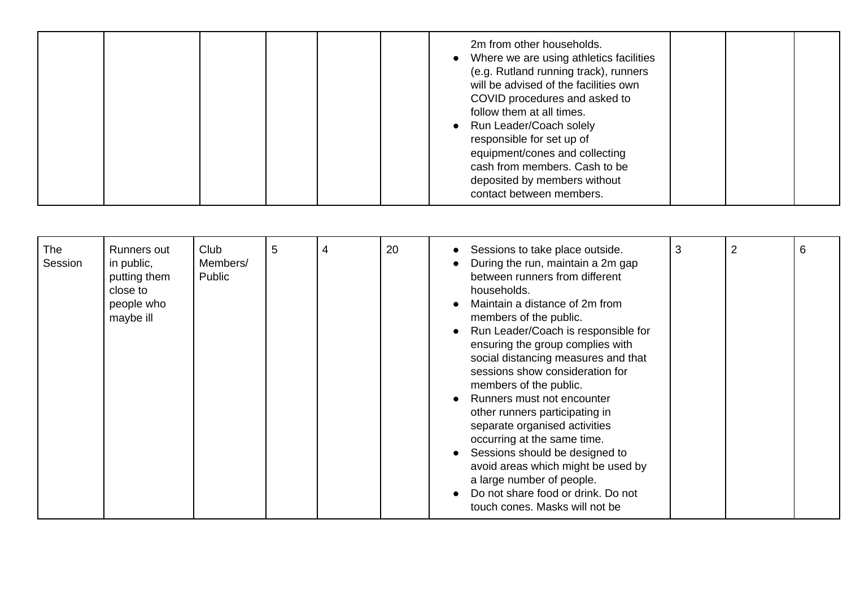|  |  |  |  |  |  | 2m from other households.<br>Where we are using athletics facilities<br>(e.g. Rutland running track), runners<br>will be advised of the facilities own<br>COVID procedures and asked to<br>follow them at all times.<br>Run Leader/Coach solely<br>responsible for set up of<br>equipment/cones and collecting<br>cash from members. Cash to be<br>deposited by members without<br>contact between members. |  |  |  |
|--|--|--|--|--|--|-------------------------------------------------------------------------------------------------------------------------------------------------------------------------------------------------------------------------------------------------------------------------------------------------------------------------------------------------------------------------------------------------------------|--|--|--|
|--|--|--|--|--|--|-------------------------------------------------------------------------------------------------------------------------------------------------------------------------------------------------------------------------------------------------------------------------------------------------------------------------------------------------------------------------------------------------------------|--|--|--|

| social distancing measures and that<br>sessions show consideration for<br>members of the public.<br>Runners must not encounter<br>other runners participating in<br>separate organised activities<br>occurring at the same time.<br>Sessions should be designed to<br>avoid areas which might be used by<br>a large number of people.<br>Do not share food or drink. Do not<br>touch cones. Masks will not be | <b>The</b><br>Session | Runners out<br>in public,<br>putting them<br>close to<br>people who<br>maybe ill | Club<br>Members/<br>Public | 5 | 4 | 20 | Sessions to take place outside.<br>During the run, maintain a 2m gap<br>between runners from different<br>households.<br>Maintain a distance of 2m from<br>members of the public.<br>Run Leader/Coach is responsible for<br>ensuring the group complies with | 3 | $\overline{2}$ | 6 |
|---------------------------------------------------------------------------------------------------------------------------------------------------------------------------------------------------------------------------------------------------------------------------------------------------------------------------------------------------------------------------------------------------------------|-----------------------|----------------------------------------------------------------------------------|----------------------------|---|---|----|--------------------------------------------------------------------------------------------------------------------------------------------------------------------------------------------------------------------------------------------------------------|---|----------------|---|
|---------------------------------------------------------------------------------------------------------------------------------------------------------------------------------------------------------------------------------------------------------------------------------------------------------------------------------------------------------------------------------------------------------------|-----------------------|----------------------------------------------------------------------------------|----------------------------|---|---|----|--------------------------------------------------------------------------------------------------------------------------------------------------------------------------------------------------------------------------------------------------------------|---|----------------|---|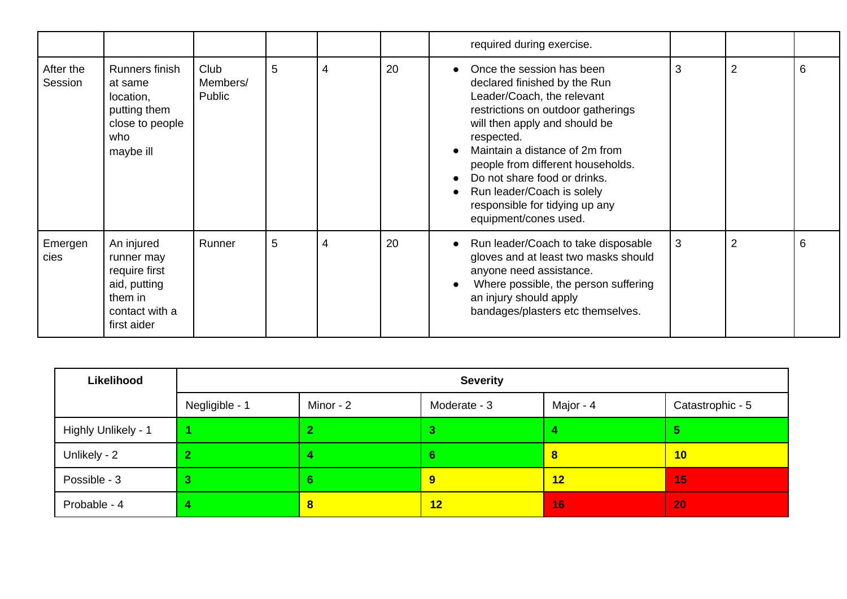|                      |                                                                                                       |                            |   |   |    | required during exercise.                                                                                                                                                                                                                                                                                                                                                    |   |                |   |
|----------------------|-------------------------------------------------------------------------------------------------------|----------------------------|---|---|----|------------------------------------------------------------------------------------------------------------------------------------------------------------------------------------------------------------------------------------------------------------------------------------------------------------------------------------------------------------------------------|---|----------------|---|
| After the<br>Session | Runners finish<br>at same<br>location,<br>putting them<br>close to people<br>who<br>maybe ill         | Club<br>Members/<br>Public | 5 | 4 | 20 | Once the session has been<br>declared finished by the Run<br>Leader/Coach, the relevant<br>restrictions on outdoor gatherings<br>will then apply and should be<br>respected.<br>Maintain a distance of 2m from<br>people from different households.<br>Do not share food or drinks.<br>Run leader/Coach is solely<br>responsible for tidying up any<br>equipment/cones used. | 3 | $\overline{2}$ | 6 |
| Emergen<br>cies      | An injured<br>runner may<br>require first<br>aid, putting<br>them in<br>contact with a<br>first aider | Runner                     | 5 | 4 | 20 | Run leader/Coach to take disposable<br>gloves and at least two masks should<br>anyone need assistance.<br>Where possible, the person suffering<br>an injury should apply<br>bandages/plasters etc themselves.                                                                                                                                                                | 3 | 2              | 6 |

| Likelihood          | <b>Severity</b> |           |                  |           |                  |  |  |
|---------------------|-----------------|-----------|------------------|-----------|------------------|--|--|
|                     | Negligible - 1  | Minor - 2 | Moderate - 3     | Major - 4 | Catastrophic - 5 |  |  |
| Highly Unlikely - 1 |                 |           | 3                |           | ь                |  |  |
| Unlikely - 2        |                 |           | ь                | $\bf{8}$  | 10               |  |  |
| Possible - 3        |                 | 6         | $\boldsymbol{9}$ | 12        | 15               |  |  |
| Probable - 4        |                 | 8         | 12               | <b>16</b> | 20               |  |  |